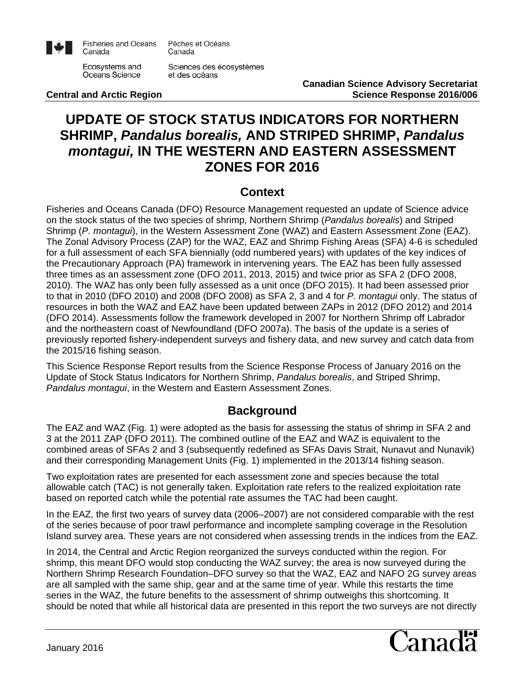

**Fisheries and Oceans** Canada

Pêches et Océans Canada

Ecosystems and Oceans Science

Sciences des écosystèmes et des océans

**Central and Arctic Region** 

**Canadian Science Advisory Secretariat**

# **UPDATE OF STOCK STATUS INDICATORS FOR NORTHERN SHRIMP,** *Pandalus borealis,* **AND STRIPED SHRIMP,** *Pandalus montagui,* **IN THE WESTERN AND EASTERN ASSESSMENT ZONES FOR 2016**

## **Context**

Fisheries and Oceans Canada (DFO) Resource Management requested an update of Science advice on the stock status of the two species of shrimp, Northern Shrimp (*Pandalus borealis*) and Striped Shrimp (*P. montagui*), in the Western Assessment Zone (WAZ) and Eastern Assessment Zone (EAZ). The Zonal Advisory Process (ZAP) for the WAZ, EAZ and Shrimp Fishing Areas (SFA) 4-6 is scheduled for a full assessment of each SFA biennially (odd numbered years) with updates of the key indices of the Precautionary Approach (PA) framework in intervening years. The EAZ has been fully assessed three times as an assessment zone (DFO 2011, 2013, 2015) and twice prior as SFA 2 (DFO 2008, 2010). The WAZ has only been fully assessed as a unit once (DFO 2015). It had been assessed prior to that in 2010 (DFO 2010) and 2008 (DFO 2008) as SFA 2, 3 and 4 for *P. montagui* only. The status of resources in both the WAZ and EAZ have been updated between ZAPs in 2012 (DFO 2012) and 2014 (DFO 2014). Assessments follow the framework developed in 2007 for Northern Shrimp off Labrador and the northeastern coast of Newfoundland (DFO 2007a). The basis of the update is a series of previously reported fishery-independent surveys and fishery data, and new survey and catch data from the 2015/16 fishing season.

This Science Response Report results from the Science Response Process of January 2016 on the Update of Stock Status Indicators for Northern Shrimp, *Pandalus borealis*, and Striped Shrimp, *Pandalus montagui*, in the Western and Eastern Assessment Zones.

## **Background**

The EAZ and WAZ (Fig. 1) were adopted as the basis for assessing the status of shrimp in SFA 2 and 3 at the 2011 ZAP (DFO 2011). The combined outline of the EAZ and WAZ is equivalent to the combined areas of SFAs 2 and 3 (subsequently redefined as SFAs Davis Strait, Nunavut and Nunavik) and their corresponding Management Units (Fig. 1) implemented in the 2013/14 fishing season.

Two exploitation rates are presented for each assessment zone and species because the total allowable catch (TAC) is not generally taken. Exploitation rate refers to the realized exploitation rate based on reported catch while the potential rate assumes the TAC had been caught.

In the EAZ, the first two years of survey data (2006–2007) are not considered comparable with the rest of the series because of poor trawl performance and incomplete sampling coverage in the Resolution Island survey area. These years are not considered when assessing trends in the indices from the EAZ.

In 2014, the Central and Arctic Region reorganized the surveys conducted within the region. For shrimp, this meant DFO would stop conducting the WAZ survey; the area is now surveyed during the Northern Shrimp Research Foundation–DFO survey so that the WAZ, EAZ and NAFO 2G survey areas are all sampled with the same ship, gear and at the same time of year. While this restarts the time series in the WAZ, the future benefits to the assessment of shrimp outweighs this shortcoming. It should be noted that while all historical data are presented in this report the two surveys are not directly

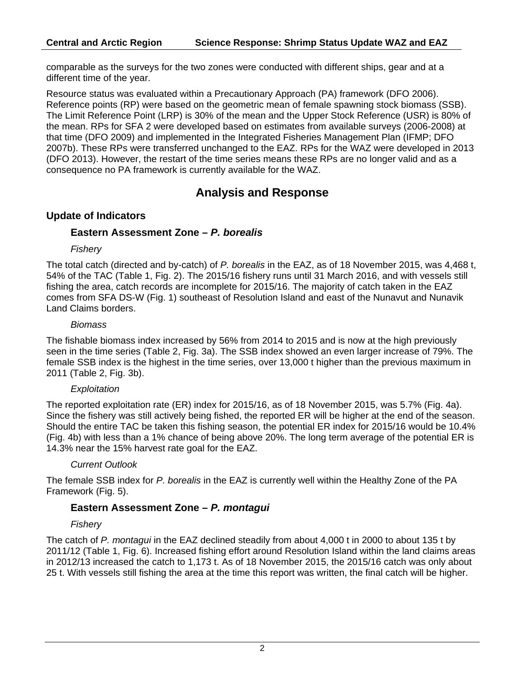comparable as the surveys for the two zones were conducted with different ships, gear and at a different time of the year.

Resource status was evaluated within a Precautionary Approach (PA) framework (DFO 2006). Reference points (RP) were based on the geometric mean of female spawning stock biomass (SSB). The Limit Reference Point (LRP) is 30% of the mean and the Upper Stock Reference (USR) is 80% of the mean. RPs for SFA 2 were developed based on estimates from available surveys (2006-2008) at that time (DFO 2009) and implemented in the Integrated Fisheries Management Plan (IFMP; DFO 2007b). These RPs were transferred unchanged to the EAZ. RPs for the WAZ were developed in 2013 (DFO 2013). However, the restart of the time series means these RPs are no longer valid and as a consequence no PA framework is currently available for the WAZ.

## **Analysis and Response**

### **Update of Indicators**

### **Eastern Assessment Zone –** *P. borealis*

#### *Fishery*

The total catch (directed and by-catch) of *P. borealis* in the EAZ, as of 18 November 2015, was 4,468 t, 54% of the TAC (Table 1, Fig. 2). The 2015/16 fishery runs until 31 March 2016, and with vessels still fishing the area, catch records are incomplete for 2015/16. The majority of catch taken in the EAZ comes from SFA DS-W (Fig. 1) southeast of Resolution Island and east of the Nunavut and Nunavik Land Claims borders.

#### *Biomass*

The fishable biomass index increased by 56% from 2014 to 2015 and is now at the high previously seen in the time series (Table 2, Fig. 3a). The SSB index showed an even larger increase of 79%. The female SSB index is the highest in the time series, over 13,000 t higher than the previous maximum in 2011 (Table 2, Fig. 3b).

### *Exploitation*

The reported exploitation rate (ER) index for 2015/16, as of 18 November 2015, was 5.7% (Fig. 4a). Since the fishery was still actively being fished, the reported ER will be higher at the end of the season. Should the entire TAC be taken this fishing season, the potential ER index for 2015/16 would be 10.4% (Fig. 4b) with less than a 1% chance of being above 20%. The long term average of the potential ER is 14.3% near the 15% harvest rate goal for the EAZ.

### *Current Outlook*

The female SSB index for *P. borealis* in the EAZ is currently well within the Healthy Zone of the PA Framework (Fig. 5).

### **Eastern Assessment Zone –** *P. montagui*

### *Fishery*

The catch of *P. montagui* in the EAZ declined steadily from about 4,000 t in 2000 to about 135 t by 2011/12 (Table 1, Fig. 6). Increased fishing effort around Resolution Island within the land claims areas in 2012/13 increased the catch to 1,173 t. As of 18 November 2015, the 2015/16 catch was only about 25 t. With vessels still fishing the area at the time this report was written, the final catch will be higher.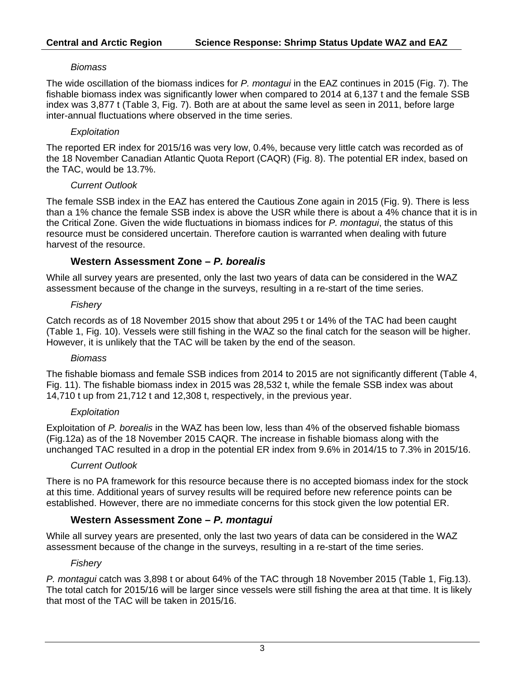#### *Biomass*

The wide oscillation of the biomass indices for *P. montagui* in the EAZ continues in 2015 (Fig. 7). The fishable biomass index was significantly lower when compared to 2014 at 6,137 t and the female SSB index was 3,877 t (Table 3, Fig. 7). Both are at about the same level as seen in 2011, before large inter-annual fluctuations where observed in the time series.

#### *Exploitation*

The reported ER index for 2015/16 was very low, 0.4%, because very little catch was recorded as of the 18 November Canadian Atlantic Quota Report (CAQR) (Fig. 8). The potential ER index, based on the TAC, would be 13.7%.

#### *Current Outlook*

The female SSB index in the EAZ has entered the Cautious Zone again in 2015 (Fig. 9). There is less than a 1% chance the female SSB index is above the USR while there is about a 4% chance that it is in the Critical Zone. Given the wide fluctuations in biomass indices for *P. montagui*, the status of this resource must be considered uncertain. Therefore caution is warranted when dealing with future harvest of the resource.

### **Western Assessment Zone –** *P. borealis*

While all survey years are presented, only the last two years of data can be considered in the WAZ assessment because of the change in the surveys, resulting in a re-start of the time series.

#### *Fishery*

Catch records as of 18 November 2015 show that about 295 t or 14% of the TAC had been caught (Table 1, Fig. 10). Vessels were still fishing in the WAZ so the final catch for the season will be higher. However, it is unlikely that the TAC will be taken by the end of the season.

### *Biomass*

The fishable biomass and female SSB indices from 2014 to 2015 are not significantly different (Table 4, Fig. 11). The fishable biomass index in 2015 was 28,532 t, while the female SSB index was about 14,710 t up from 21,712 t and 12,308 t, respectively, in the previous year.

#### *Exploitation*

Exploitation of *P. borealis* in the WAZ has been low, less than 4% of the observed fishable biomass (Fig.12a) as of the 18 November 2015 CAQR. The increase in fishable biomass along with the unchanged TAC resulted in a drop in the potential ER index from 9.6% in 2014/15 to 7.3% in 2015/16.

### *Current Outlook*

There is no PA framework for this resource because there is no accepted biomass index for the stock at this time. Additional years of survey results will be required before new reference points can be established. However, there are no immediate concerns for this stock given the low potential ER.

### **Western Assessment Zone –** *P. montagui*

While all survey years are presented, only the last two years of data can be considered in the WAZ assessment because of the change in the surveys, resulting in a re-start of the time series.

### *Fishery*

*P. montagui* catch was 3,898 t or about 64% of the TAC through 18 November 2015 (Table 1, Fig.13). The total catch for 2015/16 will be larger since vessels were still fishing the area at that time. It is likely that most of the TAC will be taken in 2015/16.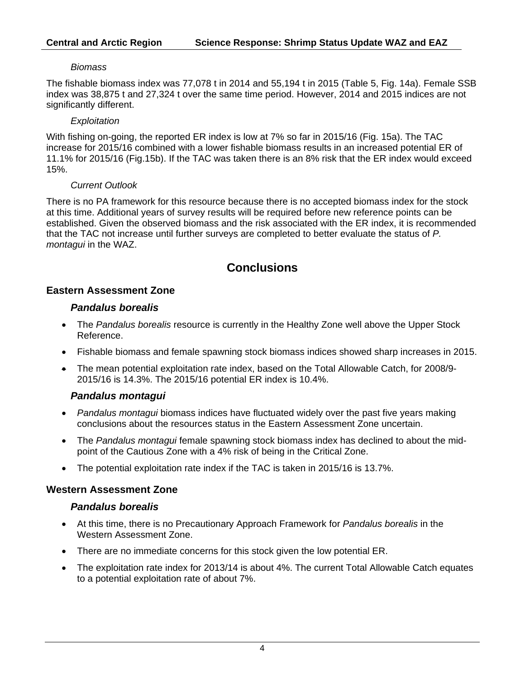#### *Biomass*

The fishable biomass index was 77,078 t in 2014 and 55,194 t in 2015 (Table 5, Fig. 14a). Female SSB index was 38,875 t and 27,324 t over the same time period. However, 2014 and 2015 indices are not significantly different.

#### *Exploitation*

With fishing on-going, the reported ER index is low at 7% so far in 2015/16 (Fig. 15a). The TAC increase for 2015/16 combined with a lower fishable biomass results in an increased potential ER of 11.1% for 2015/16 (Fig.15b). If the TAC was taken there is an 8% risk that the ER index would exceed 15%.

#### *Current Outlook*

There is no PA framework for this resource because there is no accepted biomass index for the stock at this time. Additional years of survey results will be required before new reference points can be established. Given the observed biomass and the risk associated with the ER index, it is recommended that the TAC not increase until further surveys are completed to better evaluate the status of *P. montagui* in the WAZ.

## **Conclusions**

### **Eastern Assessment Zone**

#### *Pandalus borealis*

- The *Pandalus borealis* resource is currently in the Healthy Zone well above the Upper Stock Reference.
- Fishable biomass and female spawning stock biomass indices showed sharp increases in 2015.
- The mean potential exploitation rate index, based on the Total Allowable Catch, for 2008/9- 2015/16 is 14.3%. The 2015/16 potential ER index is 10.4%.

### *Pandalus montagui*

- *Pandalus montagui* biomass indices have fluctuated widely over the past five years making conclusions about the resources status in the Eastern Assessment Zone uncertain.
- The *Pandalus montagui* female spawning stock biomass index has declined to about the midpoint of the Cautious Zone with a 4% risk of being in the Critical Zone.
- The potential exploitation rate index if the TAC is taken in 2015/16 is 13.7%.

### **Western Assessment Zone**

### *Pandalus borealis*

- At this time, there is no Precautionary Approach Framework for *Pandalus borealis* in the Western Assessment Zone.
- There are no immediate concerns for this stock given the low potential ER.
- The exploitation rate index for 2013/14 is about 4%. The current Total Allowable Catch equates to a potential exploitation rate of about 7%.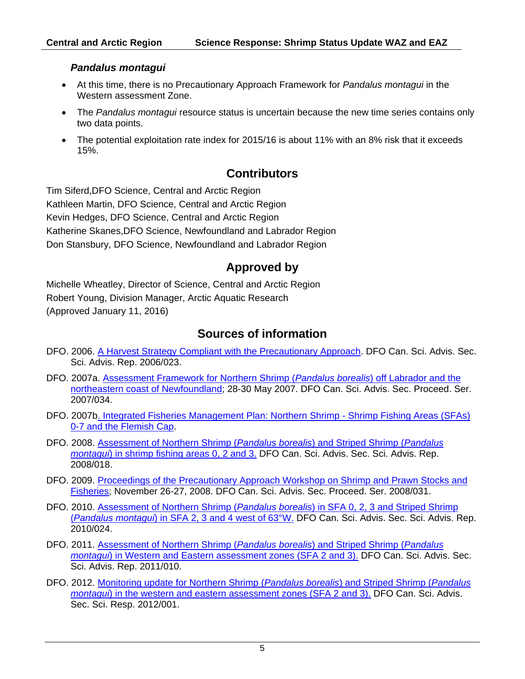#### *Pandalus montagui*

- At this time, there is no Precautionary Approach Framework for *Pandalus montagui* in the Western assessment Zone.
- The *Pandalus montagui* resource status is uncertain because the new time series contains only two data points.
- The potential exploitation rate index for 2015/16 is about 11% with an 8% risk that it exceeds 15%.

## **Contributors**

Tim Siferd,DFO Science, Central and Arctic Region Kathleen Martin, DFO Science, Central and Arctic Region Kevin Hedges, DFO Science, Central and Arctic Region Katherine Skanes,DFO Science, Newfoundland and Labrador Region Don Stansbury, DFO Science, Newfoundland and Labrador Region

## **Approved by**

Michelle Wheatley, Director of Science, Central and Arctic Region Robert Young, Division Manager, Arctic Aquatic Research (Approved January 11, 2016)

## **Sources of information**

- DFO. 2006. [A Harvest Strategy Compliant with the Precautionary Approach.](http://www.dfo-mpo.gc.ca/csas/Csas/status/2006/SAR-AS2006_023_E.pdf) DFO Can. Sci. Advis. Sec. Sci. Advis. Rep. 2006/023.
- DFO. 2007a. [Assessment Framework for Northern Shrimp \(](http://www.dfo-mpo.gc.ca/csas/Csas/Proceedings/2007/PRO2007_034_E.pdf)*Pandalus borealis*) off Labrador and the [northeastern coast of Newfoundland;](http://www.dfo-mpo.gc.ca/csas/Csas/Proceedings/2007/PRO2007_034_E.pdf) 28-30 May 2007. DFO Can. Sci. Advis. Sec. Proceed. Ser. 2007/034.
- DFO. 2007[b. Integrated Fisheries Management Plan: Northern Shrimp -](http://www.dfo-mpo.gc.ca/fm-gp/peches-fisheries/ifmp-gmp/shrimp-crevette/shrimp-crevette-2007-eng.htm) Shrimp Fishing Areas (SFAs) [0-7 and the Flemish Cap.](http://www.dfo-mpo.gc.ca/fm-gp/peches-fisheries/ifmp-gmp/shrimp-crevette/shrimp-crevette-2007-eng.htm)
- DFO. 2008. [Assessment of Northern Shrimp \(](http://www.dfo-mpo.gc.ca/csas-sccs/Publications/SAR-AS/2008/2008_018-eng.htm)*Pandalus borealis*) and Striped Shrimp (*Pandalus montagui*[\) in shrimp fishing areas 0, 2 and 3.](http://www.dfo-mpo.gc.ca/csas-sccs/Publications/SAR-AS/2008/2008_018-eng.htm) DFO Can. Sci. Advis. Sec. Sci. Advis. Rep. 2008/018.
- DFO. 2009. Proceedings of the Precautionary Approach Workshop on Shrimp and Prawn Stocks and [Fisheries;](http://www.dfo-mpo.gc.ca/csas-sccs/Publications/Pro-CR/2008/2008_031-eng.htm) November 26-27, 2008. DFO Can. Sci. Advis. Sec. Proceed. Ser. 2008/031.
- DFO. 2010. Assessment of Northern Shrimp (*Pandalus borealis*[\) in SFA 0, 2, 3 and Striped Shrimp](http://www.dfo-mpo.gc.ca/csas-sccs/Publications/SAR-AS/2010/2010_024-eng.htm)  (*Pandalus montagui*[\) in SFA 2, 3 and 4 west of 63°W.](http://www.dfo-mpo.gc.ca/csas-sccs/Publications/SAR-AS/2010/2010_024-eng.htm) DFO Can. Sci. Advis. Sec. Sci. Advis. Rep. 2010/024.
- DFO. 2011. [Assessment of Northern Shrimp \(](http://www.dfo-mpo.gc.ca/csas-sccs/Publications/SAR-AS/2011/2011_010-eng.html)*Pandalus borealis*) and Striped Shrimp (*Pandalus montagui*[\) in Western and Eastern assessment zones \(SFA 2 and 3\).](http://www.dfo-mpo.gc.ca/csas-sccs/Publications/SAR-AS/2011/2011_010-eng.html) DFO Can. Sci. Advis. Sec. Sci. Advis. Rep. 2011/010.
- DFO. 2012. [Monitoring update for Northern Shrimp \(](http://www.dfo-mpo.gc.ca/csas-sccs/Publications/ScR-RS/2012/2012_001-eng.html)*Pandalus borealis*) and Striped Shrimp (*Pandalus montagui*[\) in the western and eastern assessment zones \(SFA 2 and 3\).](http://www.dfo-mpo.gc.ca/csas-sccs/Publications/ScR-RS/2012/2012_001-eng.html) DFO Can. Sci. Advis. Sec. Sci. Resp. 2012/001.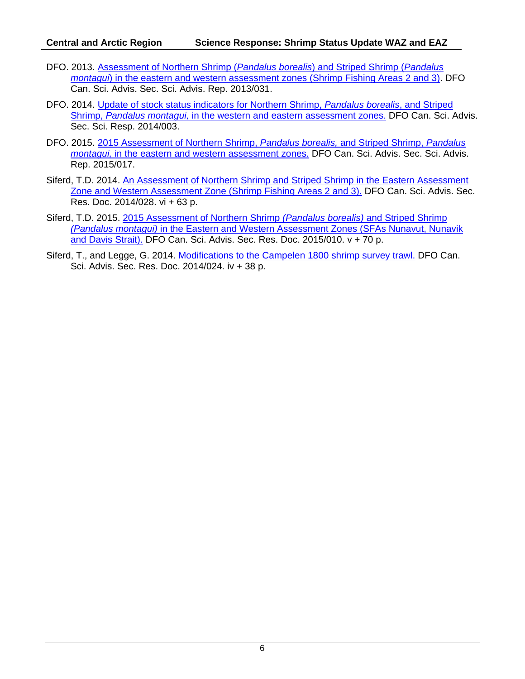- DFO. 2013. [Assessment of Northern Shrimp \(](http://www.dfo-mpo.gc.ca/csas-sccs/Publications/SAR-AS/2013/2013_031-eng.html)*Pandalus borealis*) and Striped Shrimp (*Pandalus montagui*[\) in the eastern and western assessment zones \(Shrimp Fishing Areas 2 and 3\).](http://www.dfo-mpo.gc.ca/csas-sccs/Publications/SAR-AS/2013/2013_031-eng.html) DFO Can. Sci. Advis. Sec. Sci. Advis. Rep. 2013/031.
- DFO. 2014. [Update of stock status indicators for Northern Shrimp,](http://www.dfo-mpo.gc.ca/csas-sccs/publications/scr-rs/2014/2014_003-eng.html) *Pandalus borealis*, and Striped Shrimp, *Pandalus montagui,* [in the western and eastern assessment zones.](http://www.dfo-mpo.gc.ca/csas-sccs/publications/scr-rs/2014/2014_003-eng.html) DFO Can. Sci. Advis. Sec. Sci. Resp. 2014/003.
- DFO. 2015. [2015 Assessment of Northern Shrimp,](http://www.dfo-mpo.gc.ca/csas-sccs/publications/sar-as/2015/2015_017-eng.html) *Pandalus borealis,* and Striped Shrimp, *Pandalus montagui,* [in the eastern and western assessment zones.](http://www.dfo-mpo.gc.ca/csas-sccs/publications/sar-as/2015/2015_017-eng.html) DFO Can. Sci. Advis. Sec. Sci. Advis. Rep. 2015/017.
- Siferd, T.D. 2014. [An Assessment of Northern Shrimp and Striped Shrimp in the Eastern Assessment](http://www.dfo-mpo.gc.ca/csas-sccs/publications/resdocs-docrech/2014/2014_028-eng.html)  [Zone and Western Assessment Zone \(Shrimp Fishing Areas 2 and 3\).](http://www.dfo-mpo.gc.ca/csas-sccs/publications/resdocs-docrech/2014/2014_028-eng.html) DFO Can. Sci. Advis. Sec. Res. Doc. 2014/028. vi + 63 p.
- Siferd, T.D. 2015. [2015 Assessment of Northern Shrimp](http://www.dfo-mpo.gc.ca/csas-sccs/publications/resdocs-docrech/2015/2015_010-eng.html) *(Pandalus borealis)* and Striped Shrimp *(Pandalus montagui)* [in the Eastern and Western Assessment Zones \(SFAs Nunavut, Nunavik](http://www.dfo-mpo.gc.ca/csas-sccs/publications/resdocs-docrech/2015/2015_010-eng.html)  [and Davis Strait\).](http://www.dfo-mpo.gc.ca/csas-sccs/publications/resdocs-docrech/2015/2015_010-eng.html) DFO Can. Sci. Advis. Sec. Res. Doc. 2015/010. v + 70 p.
- Siferd, T., and Legge, G. 2014. [Modifications to the Campelen 1800 shrimp survey trawl.](http://www.dfo-mpo.gc.ca/csas-sccs/publications/resdocs-docrech/2014/2014_024-eng.html) DFO Can. Sci. Advis. Sec. Res. Doc. 2014/024. iv + 38 p.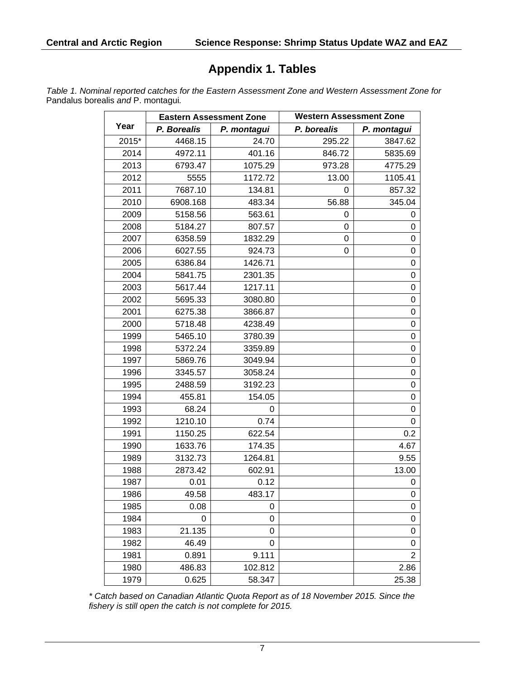# **Appendix 1. Tables**

*Table 1. Nominal reported catches for the Eastern Assessment Zone and Western Assessment Zone for*  Pandalus borealis *and* P. montagui*.* 

|       | <b>Eastern Assessment Zone</b> |             | <b>Western Assessment Zone</b> |                |
|-------|--------------------------------|-------------|--------------------------------|----------------|
| Year  | P. Borealis                    | P. montagui | P. borealis                    | P. montagui    |
| 2015* | 4468.15                        | 24.70       | 295.22                         | 3847.62        |
| 2014  | 4972.11                        | 401.16      | 846.72                         | 5835.69        |
| 2013  | 6793.47                        | 1075.29     | 973.28                         | 4775.29        |
| 2012  | 5555                           | 1172.72     | 13.00                          | 1105.41        |
| 2011  | 7687.10                        | 134.81      | 0                              | 857.32         |
| 2010  | 6908.168                       | 483.34      | 56.88                          | 345.04         |
| 2009  | 5158.56                        | 563.61      | 0                              | 0              |
| 2008  | 5184.27                        | 807.57      | 0                              | 0              |
| 2007  | 6358.59                        | 1832.29     | 0                              | 0              |
| 2006  | 6027.55                        | 924.73      | 0                              | 0              |
| 2005  | 6386.84                        | 1426.71     |                                | 0              |
| 2004  | 5841.75                        | 2301.35     |                                | 0              |
| 2003  | 5617.44                        | 1217.11     |                                | 0              |
| 2002  | 5695.33                        | 3080.80     |                                | 0              |
| 2001  | 6275.38                        | 3866.87     |                                | 0              |
| 2000  | 5718.48                        | 4238.49     |                                | 0              |
| 1999  | 5465.10                        | 3780.39     |                                | 0              |
| 1998  | 5372.24                        | 3359.89     |                                | 0              |
| 1997  | 5869.76                        | 3049.94     |                                | 0              |
| 1996  | 3345.57                        | 3058.24     |                                | 0              |
| 1995  | 2488.59                        | 3192.23     |                                | 0              |
| 1994  | 455.81                         | 154.05      |                                | 0              |
| 1993  | 68.24                          | 0           |                                | 0              |
| 1992  | 1210.10                        | 0.74        |                                | 0              |
| 1991  | 1150.25                        | 622.54      |                                | 0.2            |
| 1990  | 1633.76                        | 174.35      |                                | 4.67           |
| 1989  | 3132.73                        | 1264.81     |                                | 9.55           |
| 1988  | 2873.42                        | 602.91      |                                | 13.00          |
| 1987  | 0.01                           | 0.12        |                                | 0              |
| 1986  | 49.58                          | 483.17      |                                | 0              |
| 1985  | 0.08                           | 0           |                                | 0              |
| 1984  | 0                              | 0           |                                | $\mathbf 0$    |
| 1983  | 21.135                         | 0           |                                | 0              |
| 1982  | 46.49                          | 0           |                                | 0              |
| 1981  | 0.891                          | 9.111       |                                | $\overline{2}$ |
| 1980  | 486.83                         | 102.812     |                                | 2.86           |
| 1979  | 0.625                          | 58.347      |                                | 25.38          |

*\* Catch based on Canadian Atlantic Quota Report as of 18 November 2015. Since the fishery is still open the catch is not complete for 2015.*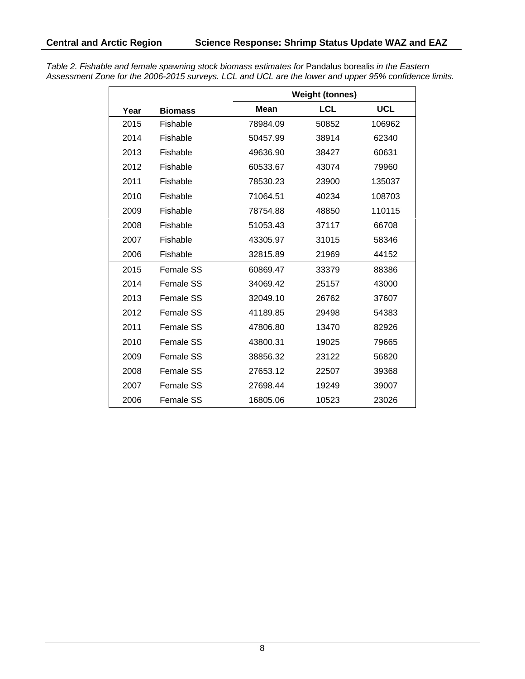|      |                  | <b>Weight (tonnes)</b> |            |            |
|------|------------------|------------------------|------------|------------|
| Year | <b>Biomass</b>   | Mean                   | <b>LCL</b> | <b>UCL</b> |
| 2015 | Fishable         | 78984.09               | 50852      | 106962     |
| 2014 | Fishable         | 50457.99               | 38914      | 62340      |
| 2013 | Fishable         | 49636.90               | 38427      | 60631      |
| 2012 | Fishable         | 60533.67               | 43074      | 79960      |
| 2011 | Fishable         | 78530.23               | 23900      | 135037     |
| 2010 | Fishable         | 71064.51               | 40234      | 108703     |
| 2009 | Fishable         | 78754.88               | 48850      | 110115     |
| 2008 | Fishable         | 51053.43               | 37117      | 66708      |
| 2007 | Fishable         | 43305.97               | 31015      | 58346      |
| 2006 | Fishable         | 32815.89               | 21969      | 44152      |
| 2015 | Female SS        | 60869.47               | 33379      | 88386      |
| 2014 | Female SS        | 34069.42               | 25157      | 43000      |
| 2013 | Female SS        | 32049.10               | 26762      | 37607      |
| 2012 | Female SS        | 41189.85               | 29498      | 54383      |
| 2011 | <b>Female SS</b> | 47806.80               | 13470      | 82926      |
| 2010 | Female SS        | 43800.31               | 19025      | 79665      |
| 2009 | Female SS        | 38856.32               | 23122      | 56820      |
| 2008 | <b>Female SS</b> | 27653.12               | 22507      | 39368      |
| 2007 | <b>Female SS</b> | 27698.44               | 19249      | 39007      |
| 2006 | <b>Female SS</b> | 16805.06               | 10523      | 23026      |

*Table 2. Fishable and female spawning stock biomass estimates for* Pandalus borealis *in the Eastern Assessment Zone for the 2006-2015 surveys. LCL and UCL are the lower and upper 95% confidence limits.*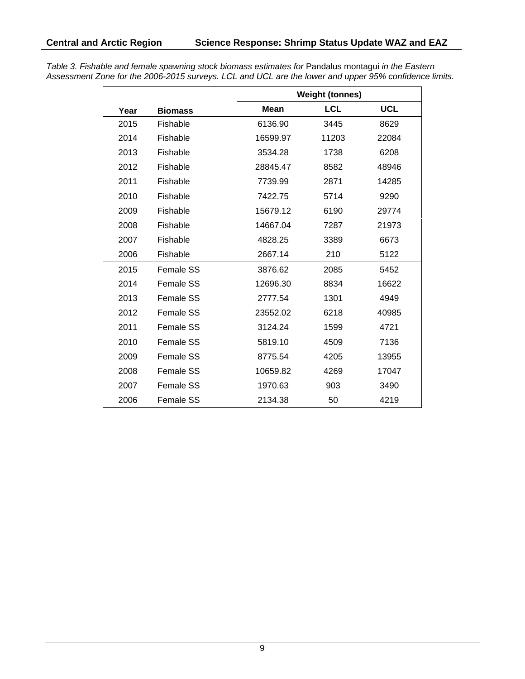|      |                |          | <b>Weight (tonnes)</b> |            |  |
|------|----------------|----------|------------------------|------------|--|
| Year | <b>Biomass</b> | Mean     | <b>LCL</b>             | <b>UCL</b> |  |
| 2015 | Fishable       | 6136.90  | 3445                   | 8629       |  |
| 2014 | Fishable       | 16599.97 | 11203                  | 22084      |  |
| 2013 | Fishable       | 3534.28  | 1738                   | 6208       |  |
| 2012 | Fishable       | 28845.47 | 8582                   | 48946      |  |
| 2011 | Fishable       | 7739.99  | 2871                   | 14285      |  |
| 2010 | Fishable       | 7422.75  | 5714                   | 9290       |  |
| 2009 | Fishable       | 15679.12 | 6190                   | 29774      |  |
| 2008 | Fishable       | 14667.04 | 7287                   | 21973      |  |
| 2007 | Fishable       | 4828.25  | 3389                   | 6673       |  |
| 2006 | Fishable       | 2667.14  | 210                    | 5122       |  |
| 2015 | Female SS      | 3876.62  | 2085                   | 5452       |  |
| 2014 | Female SS      | 12696.30 | 8834                   | 16622      |  |
| 2013 | Female SS      | 2777.54  | 1301                   | 4949       |  |
| 2012 | Female SS      | 23552.02 | 6218                   | 40985      |  |
| 2011 | Female SS      | 3124.24  | 1599                   | 4721       |  |
| 2010 | Female SS      | 5819.10  | 4509                   | 7136       |  |
| 2009 | Female SS      | 8775.54  | 4205                   | 13955      |  |
| 2008 | Female SS      | 10659.82 | 4269                   | 17047      |  |
| 2007 | Female SS      | 1970.63  | 903                    | 3490       |  |
| 2006 | Female SS      | 2134.38  | 50                     | 4219       |  |

*Table 3. Fishable and female spawning stock biomass estimates for* Pandalus montagui *in the Eastern Assessment Zone for the 2006-2015 surveys. LCL and UCL are the lower and upper 95% confidence limits.*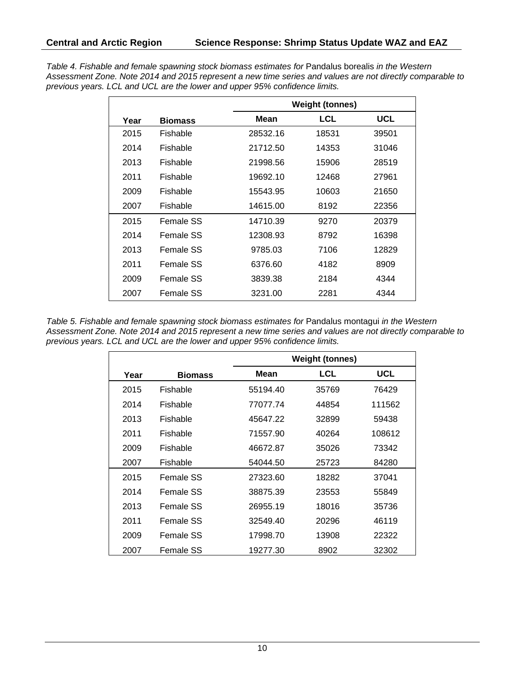*Table 4. Fishable and female spawning stock biomass estimates for* Pandalus borealis *in the Western Assessment Zone. Note 2014 and 2015 represent a new time series and values are not directly comparable to previous years. LCL and UCL are the lower and upper 95% confidence limits.*

|      |                |          | <b>Weight (tonnes)</b> |            |  |
|------|----------------|----------|------------------------|------------|--|
| Year | <b>Biomass</b> | Mean     | LCL                    | <b>UCL</b> |  |
| 2015 | Fishable       | 28532.16 | 18531                  | 39501      |  |
| 2014 | Fishable       | 21712.50 | 14353                  | 31046      |  |
| 2013 | Fishable       | 21998.56 | 15906                  | 28519      |  |
| 2011 | Fishable       | 19692.10 | 12468                  | 27961      |  |
| 2009 | Fishable       | 15543.95 | 10603                  | 21650      |  |
| 2007 | Fishable       | 14615.00 | 8192                   | 22356      |  |
| 2015 | Female SS      | 14710.39 | 9270                   | 20379      |  |
| 2014 | Female SS      | 12308.93 | 8792                   | 16398      |  |
| 2013 | Female SS      | 9785.03  | 7106                   | 12829      |  |
| 2011 | Female SS      | 6376.60  | 4182                   | 8909       |  |
| 2009 | Female SS      | 3839.38  | 2184                   | 4344       |  |
| 2007 | Female SS      | 3231.00  | 2281                   | 4344       |  |

*Table 5. Fishable and female spawning stock biomass estimates for* Pandalus montagui *in the Western Assessment Zone. Note 2014 and 2015 represent a new time series and values are not directly comparable to previous years. LCL and UCL are the lower and upper 95% confidence limits.*

|      |                | <b>Weight (tonnes)</b> |            |            |
|------|----------------|------------------------|------------|------------|
| Year | <b>Biomass</b> | Mean                   | <b>LCL</b> | <b>UCL</b> |
| 2015 | Fishable       | 55194.40               | 35769      | 76429      |
| 2014 | Fishable       | 77077.74               | 44854      | 111562     |
| 2013 | Fishable       | 45647.22               | 32899      | 59438      |
| 2011 | Fishable       | 71557.90               | 40264      | 108612     |
| 2009 | Fishable       | 46672.87               | 35026      | 73342      |
| 2007 | Fishable       | 54044.50               | 25723      | 84280      |
| 2015 | Female SS      | 27323.60               | 18282      | 37041      |
| 2014 | Female SS      | 38875.39               | 23553      | 55849      |
| 2013 | Female SS      | 26955.19               | 18016      | 35736      |
| 2011 | Female SS      | 32549.40               | 20296      | 46119      |
| 2009 | Female SS      | 17998.70               | 13908      | 22322      |
| 2007 | Female SS      | 19277.30               | 8902       | 32302      |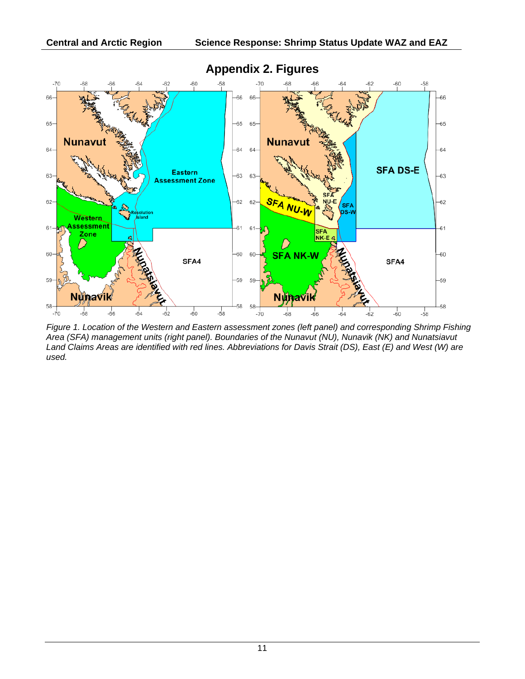

*Figure 1. Location of the Western and Eastern assessment zones (left panel) and corresponding Shrimp Fishing Area (SFA) management units (right panel). Boundaries of the Nunavut (NU), Nunavik (NK) and Nunatsiavut Land Claims Areas are identified with red lines. Abbreviations for Davis Strait (DS), East (E) and West (W) are used.*

## **Appendix 2. Figures**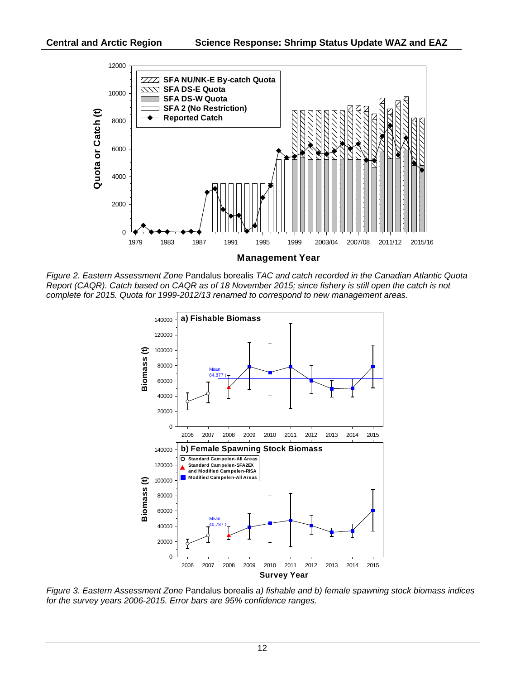

*Figure 2. Eastern Assessment Zone* Pandalus borealis *TAC and catch recorded in the Canadian Atlantic Quota Report (CAQR). Catch based on CAQR as of 18 November 2015; since fishery is still open the catch is not complete for 2015. Quota for 1999-2012/13 renamed to correspond to new management areas.*



*Figure 3. Eastern Assessment Zone* Pandalus borealis *a) fishable and b) female spawning stock biomass indices for the survey years 2006-2015. Error bars are 95% confidence ranges.*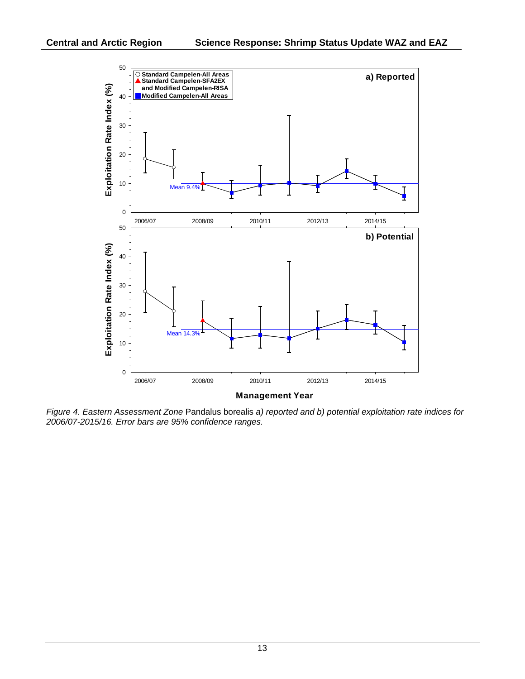

*Figure 4. Eastern Assessment Zone* Pandalus borealis *a) reported and b) potential exploitation rate indices for 2006/07-2015/16. Error bars are 95% confidence ranges.*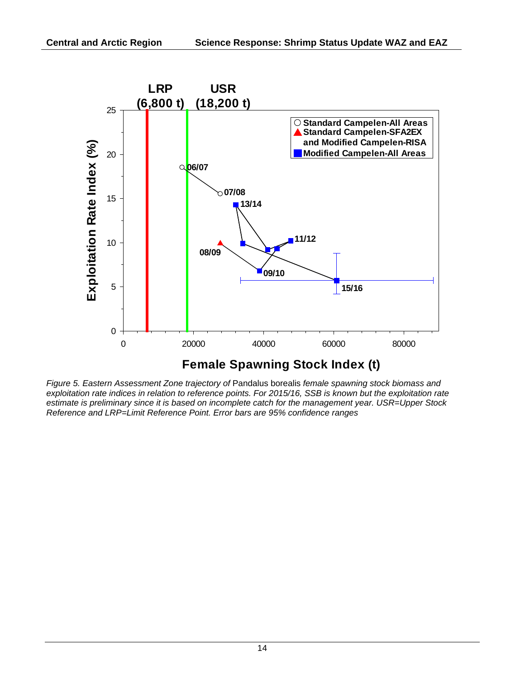

*Figure 5. Eastern Assessment Zone trajectory of* Pandalus borealis *female spawning stock biomass and exploitation rate indices in relation to reference points. For 2015/16, SSB is known but the exploitation rate estimate is preliminary since it is based on incomplete catch for the management year. USR=Upper Stock Reference and LRP=Limit Reference Point. Error bars are 95% confidence ranges*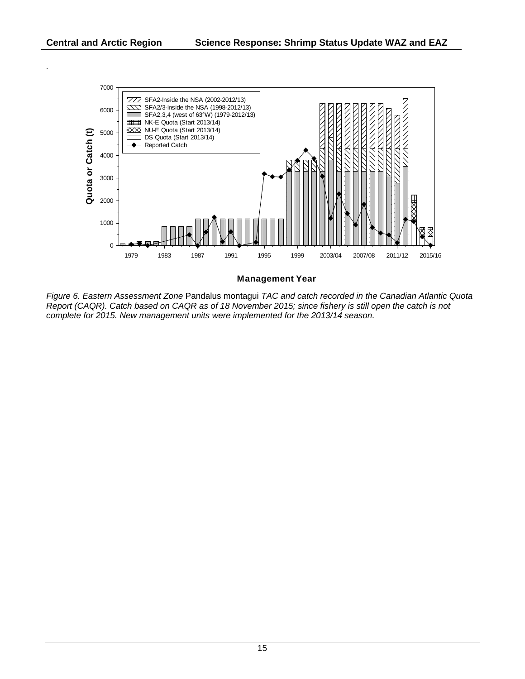*.*



**Management Year**

*Figure 6. Eastern Assessment Zone* Pandalus montagui *TAC and catch recorded in the Canadian Atlantic Quota Report (CAQR). Catch based on CAQR as of 18 November 2015; since fishery is still open the catch is not complete for 2015. New management units were implemented for the 2013/14 season.*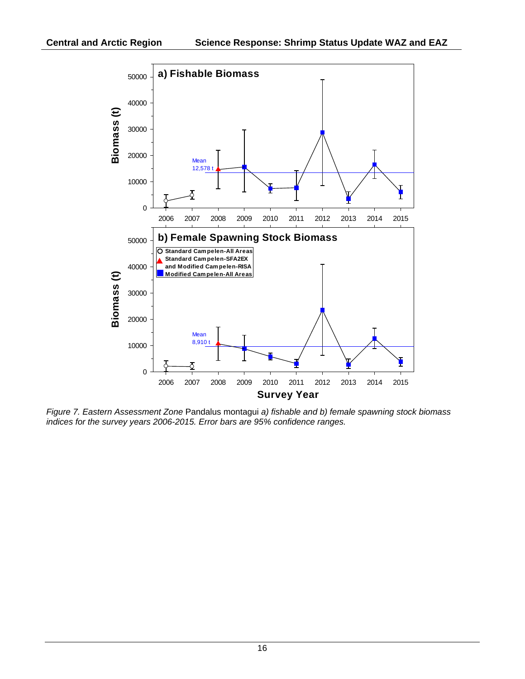

*Figure 7. Eastern Assessment Zone* Pandalus montagui *a) fishable and b) female spawning stock biomass indices for the survey years 2006-2015. Error bars are 95% confidence ranges.*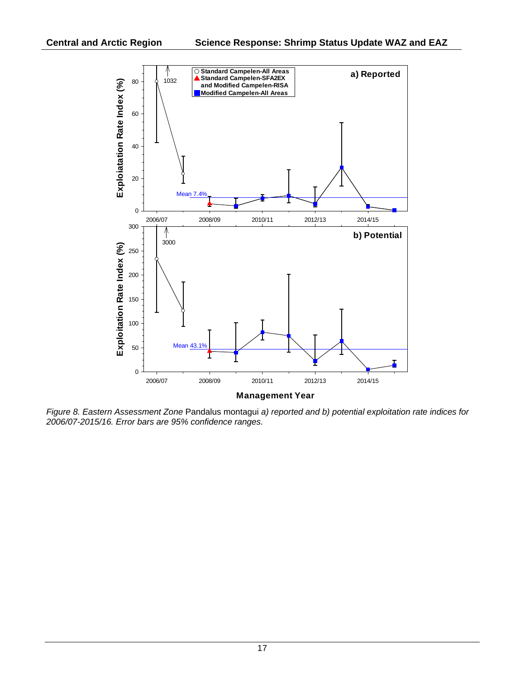

*Figure 8. Eastern Assessment Zone* Pandalus montagui *a) reported and b) potential exploitation rate indices for 2006/07-2015/16. Error bars are 95% confidence ranges.*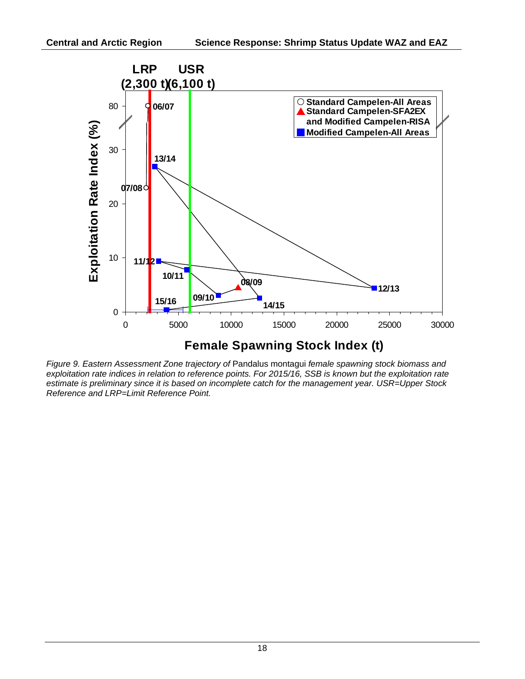

*Figure 9. Eastern Assessment Zone trajectory of* Pandalus montagui *female spawning stock biomass and exploitation rate indices in relation to reference points. For 2015/16, SSB is known but the exploitation rate estimate is preliminary since it is based on incomplete catch for the management year. USR=Upper Stock Reference and LRP=Limit Reference Point.*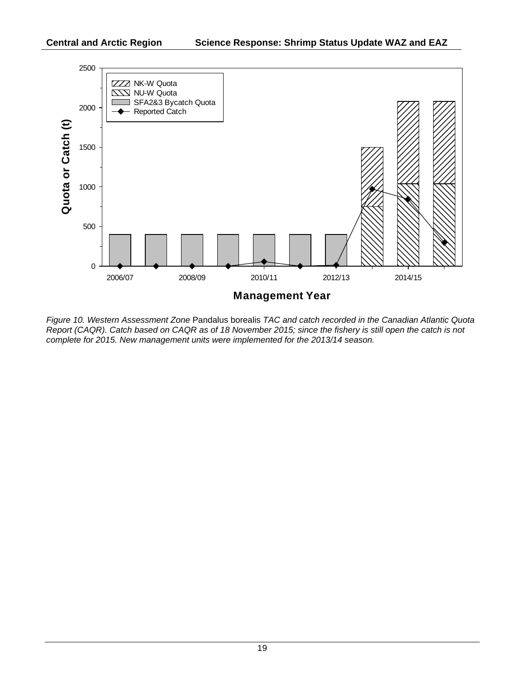

*Figure 10. Western Assessment Zone* Pandalus borealis *TAC and catch recorded in the Canadian Atlantic Quota Report (CAQR). Catch based on CAQR as of 18 November 2015; since the fishery is still open the catch is not complete for 2015. New management units were implemented for the 2013/14 season.*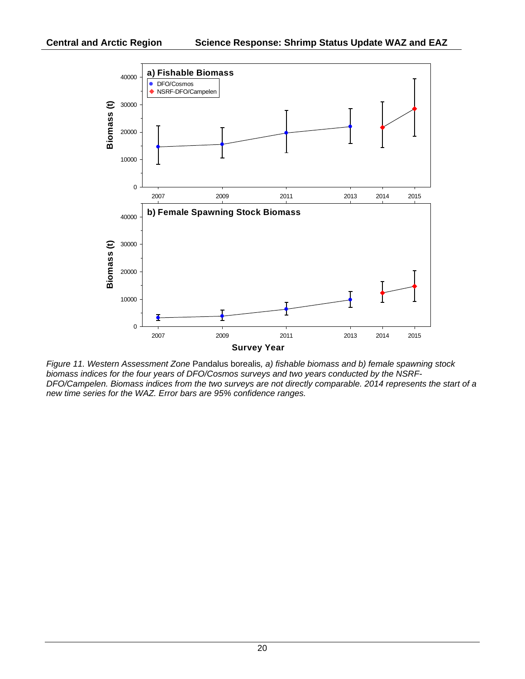

*Figure 11. Western Assessment Zone* Pandalus borealis*, a) fishable biomass and b) female spawning stock biomass indices for the four years of DFO/Cosmos surveys and two years conducted by the NSRF-DFO/Campelen. Biomass indices from the two surveys are not directly comparable. 2014 represents the start of a new time series for the WAZ. Error bars are 95% confidence ranges.*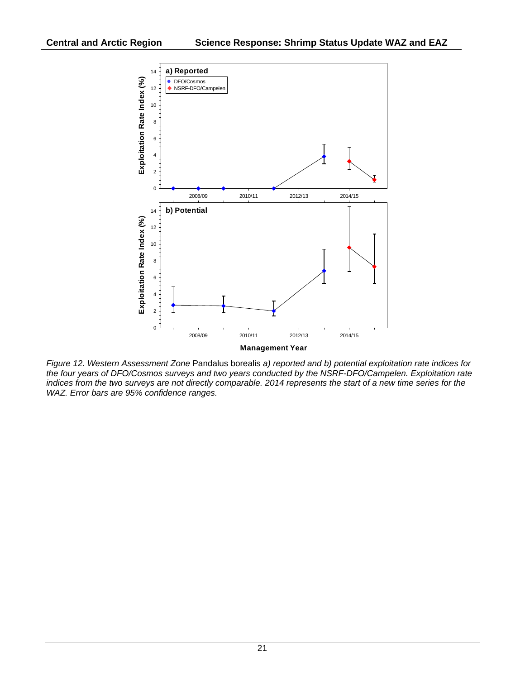

*Figure 12. Western Assessment Zone* Pandalus borealis *a) reported and b) potential exploitation rate indices for the four years of DFO/Cosmos surveys and two years conducted by the NSRF-DFO/Campelen. Exploitation rate*  indices from the two surveys are not directly comparable. 2014 represents the start of a new time series for the *WAZ. Error bars are 95% confidence ranges.*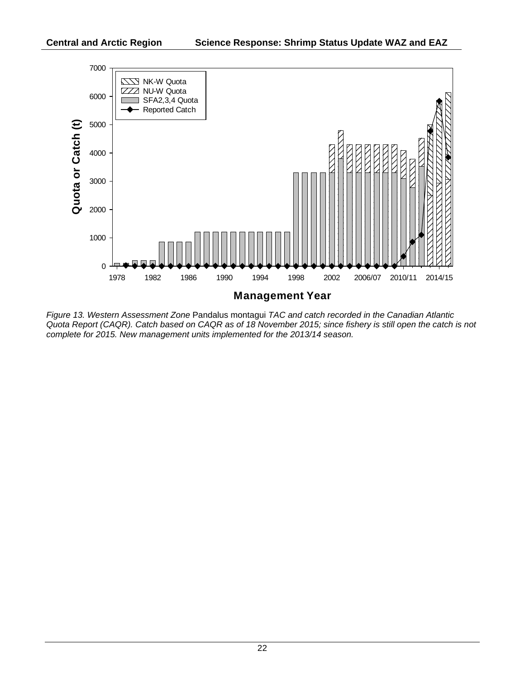

*Figure 13. Western Assessment Zone* Pandalus montagui *TAC and catch recorded in the Canadian Atlantic Quota Report (CAQR). Catch based on CAQR as of 18 November 2015; since fishery is still open the catch is not complete for 2015. New management units implemented for the 2013/14 season.*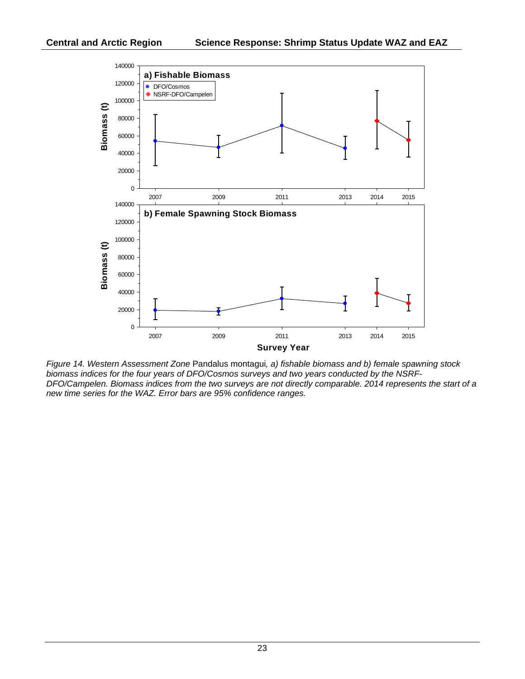

*Figure 14. Western Assessment Zone* Pandalus montagui*, a) fishable biomass and b) female spawning stock biomass indices for the four years of DFO/Cosmos surveys and two years conducted by the NSRF-DFO/Campelen. Biomass indices from the two surveys are not directly comparable. 2014 represents the start of a new time series for the WAZ. Error bars are 95% confidence ranges.*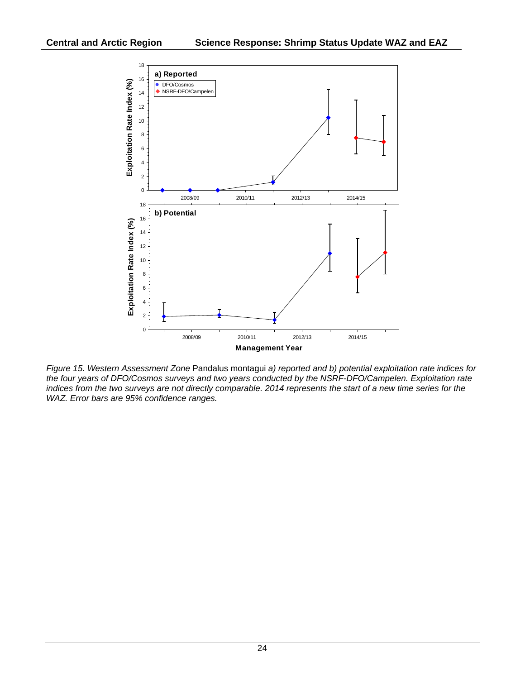

*Figure 15. Western Assessment Zone* Pandalus montagui *a) reported and b) potential exploitation rate indices for the four years of DFO/Cosmos surveys and two years conducted by the NSRF-DFO/Campelen. Exploitation rate*  indices from the two surveys are not directly comparable. 2014 represents the start of a new time series for the *WAZ. Error bars are 95% confidence ranges.*